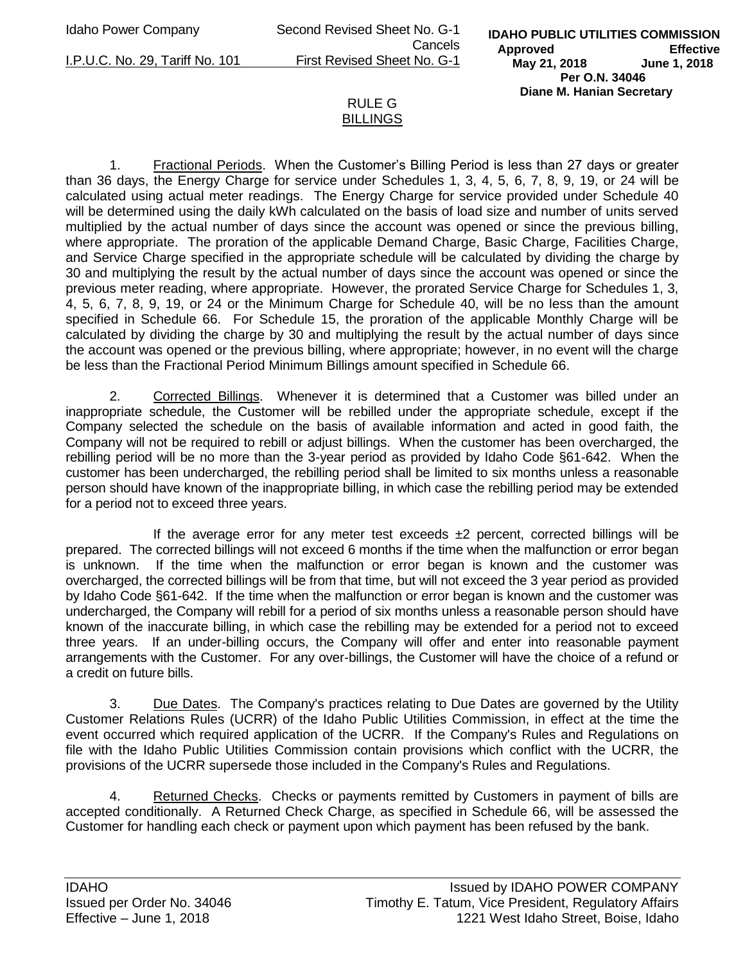Idaho Power Company Second Revised Sheet No. G-1 Cancels I.P.U.C. No. 29, Tariff No. 101 First Revised Sheet No. G-1

**IDAHO PUBLIC UTILITIES COMMISSION Approved Effective May 21, 2018 June 1, 2018 Per O.N. 34046 Diane M. Hanian Secretary** 

## RULE G BILLINGS

1. Fractional Periods. When the Customer's Billing Period is less than 27 days or greater than 36 days, the Energy Charge for service under Schedules 1, 3, 4, 5, 6, 7, 8, 9, 19, or 24 will be calculated using actual meter readings. The Energy Charge for service provided under Schedule 40 will be determined using the daily kWh calculated on the basis of load size and number of units served multiplied by the actual number of days since the account was opened or since the previous billing, where appropriate. The proration of the applicable Demand Charge, Basic Charge, Facilities Charge, and Service Charge specified in the appropriate schedule will be calculated by dividing the charge by 30 and multiplying the result by the actual number of days since the account was opened or since the previous meter reading, where appropriate. However, the prorated Service Charge for Schedules 1, 3, 4, 5, 6, 7, 8, 9, 19, or 24 or the Minimum Charge for Schedule 40, will be no less than the amount specified in Schedule 66. For Schedule 15, the proration of the applicable Monthly Charge will be calculated by dividing the charge by 30 and multiplying the result by the actual number of days since the account was opened or the previous billing, where appropriate; however, in no event will the charge be less than the Fractional Period Minimum Billings amount specified in Schedule 66.

2. Corrected Billings. Whenever it is determined that a Customer was billed under an inappropriate schedule, the Customer will be rebilled under the appropriate schedule, except if the Company selected the schedule on the basis of available information and acted in good faith, the Company will not be required to rebill or adjust billings. When the customer has been overcharged, the rebilling period will be no more than the 3-year period as provided by Idaho Code §61-642. When the customer has been undercharged, the rebilling period shall be limited to six months unless a reasonable person should have known of the inappropriate billing, in which case the rebilling period may be extended for a period not to exceed three years.

If the average error for any meter test exceeds  $\pm 2$  percent, corrected billings will be prepared. The corrected billings will not exceed 6 months if the time when the malfunction or error began is unknown. If the time when the malfunction or error began is known and the customer was overcharged, the corrected billings will be from that time, but will not exceed the 3 year period as provided by Idaho Code §61-642. If the time when the malfunction or error began is known and the customer was undercharged, the Company will rebill for a period of six months unless a reasonable person should have known of the inaccurate billing, in which case the rebilling may be extended for a period not to exceed three years. If an under-billing occurs, the Company will offer and enter into reasonable payment arrangements with the Customer. For any over-billings, the Customer will have the choice of a refund or a credit on future bills.

3. Due Dates. The Company's practices relating to Due Dates are governed by the Utility Customer Relations Rules (UCRR) of the Idaho Public Utilities Commission, in effect at the time the event occurred which required application of the UCRR. If the Company's Rules and Regulations on file with the Idaho Public Utilities Commission contain provisions which conflict with the UCRR, the provisions of the UCRR supersede those included in the Company's Rules and Regulations.

4. Returned Checks. Checks or payments remitted by Customers in payment of bills are accepted conditionally. A Returned Check Charge, as specified in Schedule 66, will be assessed the Customer for handling each check or payment upon which payment has been refused by the bank.